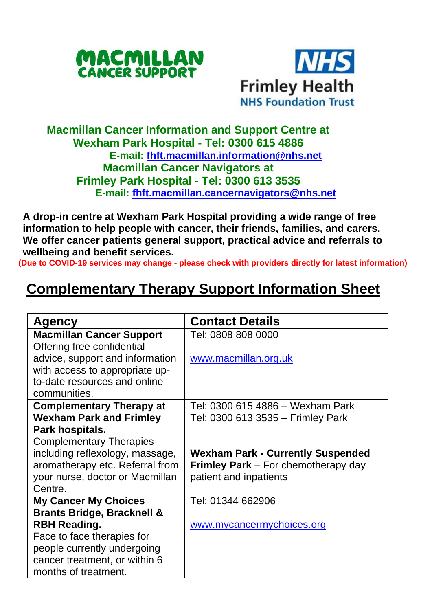



## **Macmillan Cancer Information and Support Centre at Wexham Park Hospital - Tel: 0300 615 4886 E-mail: [fhft.macmillan.information@nhs.net](mailto:fhft.macmillan.information@nhs.net) Macmillan Cancer Navigators at Frimley Park Hospital - Tel: 0300 613 3535 E-mail: [fhft.macmillan.cancernavigators@nhs.net](mailto:fhft.macmillan.cancernavigators@nhs.net)**

**A drop-in centre at Wexham Park Hospital providing a wide range of free information to help people with cancer, their friends, families, and carers. We offer cancer patients general support, practical advice and referrals to wellbeing and benefit services.**

**(Due to COVID-19 services may change - please check with providers directly for latest information)**

## **Complementary Therapy Support Information Sheet**

| Agency                                | <b>Contact Details</b>                     |
|---------------------------------------|--------------------------------------------|
| <b>Macmillan Cancer Support</b>       | Tel: 0808 808 0000                         |
| Offering free confidential            |                                            |
| advice, support and information       | www.macmillan.org.uk                       |
| with access to appropriate up-        |                                            |
| to-date resources and online          |                                            |
| communities.                          |                                            |
| <b>Complementary Therapy at</b>       | Tel: 0300 615 4886 – Wexham Park           |
| <b>Wexham Park and Frimley</b>        | Tel: 0300 613 3535 - Frimley Park          |
| Park hospitals.                       |                                            |
| <b>Complementary Therapies</b>        |                                            |
| including reflexology, massage,       | <b>Wexham Park - Currently Suspended</b>   |
| aromatherapy etc. Referral from       | <b>Frimley Park</b> – For chemotherapy day |
| your nurse, doctor or Macmillan       | patient and inpatients                     |
| Centre.                               |                                            |
| <b>My Cancer My Choices</b>           | Tel: 01344 662906                          |
| <b>Brants Bridge, Bracknell &amp;</b> |                                            |
| RBH Reading.                          | www.mycancermychoices.org                  |
| Face to face therapies for            |                                            |
| people currently undergoing           |                                            |
| cancer treatment, or within 6         |                                            |
| months of treatment.                  |                                            |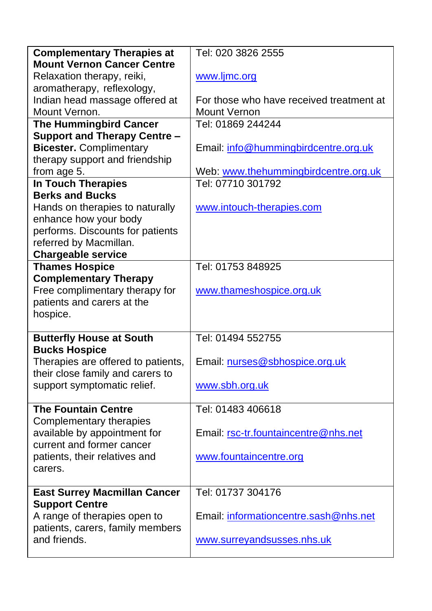| <b>Complementary Therapies at</b>                         | Tel: 020 3826 2555                       |  |  |
|-----------------------------------------------------------|------------------------------------------|--|--|
| <b>Mount Vernon Cancer Centre</b>                         |                                          |  |  |
| Relaxation therapy, reiki,                                | www.ljmc.org                             |  |  |
| aromatherapy, reflexology,                                |                                          |  |  |
| Indian head massage offered at                            | For those who have received treatment at |  |  |
| Mount Vernon.                                             | Mount Vernon                             |  |  |
| <b>The Hummingbird Cancer</b>                             | Tel: 01869 244244                        |  |  |
| Support and Therapy Centre -                              |                                          |  |  |
| <b>Bicester.</b> Complimentary                            | Email: info@hummingbirdcentre.org.uk     |  |  |
| therapy support and friendship                            |                                          |  |  |
| from age 5.                                               | Web: www.thehummingbirdcentre.org.uk     |  |  |
| <b>In Touch Therapies</b>                                 | Tel: 07710 301792                        |  |  |
| <b>Berks and Bucks</b>                                    |                                          |  |  |
| Hands on therapies to naturally                           | www.intouch-therapies.com                |  |  |
| enhance how your body                                     |                                          |  |  |
| performs. Discounts for patients                          |                                          |  |  |
| referred by Macmillan.                                    |                                          |  |  |
| <b>Chargeable service</b>                                 |                                          |  |  |
| <b>Thames Hospice</b>                                     | Tel: 01753 848925                        |  |  |
| <b>Complementary Therapy</b>                              |                                          |  |  |
| Free complimentary therapy for                            | www.thameshospice.org.uk                 |  |  |
| patients and carers at the                                |                                          |  |  |
| hospice.                                                  |                                          |  |  |
|                                                           |                                          |  |  |
| <b>Butterfly House at South</b>                           | Tel: 01494 552755                        |  |  |
| <b>Bucks Hospice</b>                                      |                                          |  |  |
| Therapies are offered to patients,                        | Email: nurses@sbhospice.org.uk           |  |  |
| their close family and carers to                          |                                          |  |  |
| support symptomatic relief.                               | www.sbh.org.uk                           |  |  |
|                                                           |                                          |  |  |
| <b>The Fountain Centre</b>                                | Tel: 01483 406618                        |  |  |
| Complementary therapies                                   |                                          |  |  |
| available by appointment for<br>current and former cancer | Email: rsc-tr.fountaincentre@nhs.net     |  |  |
| patients, their relatives and                             | www.fountaincentre.org                   |  |  |
| carers.                                                   |                                          |  |  |
|                                                           |                                          |  |  |
| <b>East Surrey Macmillan Cancer</b>                       | Tel: 01737 304176                        |  |  |
| <b>Support Centre</b>                                     |                                          |  |  |
| A range of therapies open to                              | Email: informationcentre.sash@nhs.net    |  |  |
| patients, carers, family members                          |                                          |  |  |
| and friends.                                              | www.surreyandsusses.nhs.uk               |  |  |
|                                                           |                                          |  |  |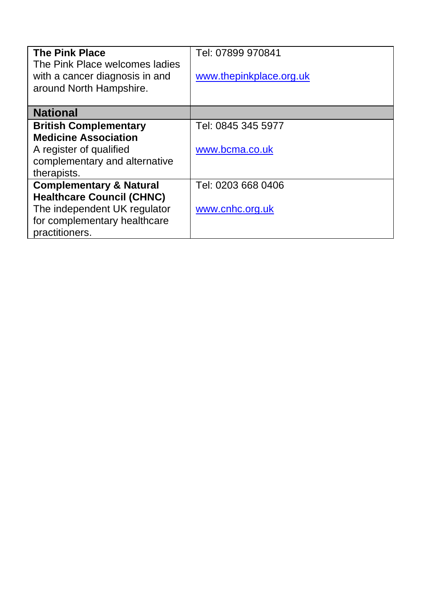| <b>The Pink Place</b><br>The Pink Place welcomes ladies<br>with a cancer diagnosis in and<br>around North Hampshire. | Tel: 07899 970841<br>www.thepinkplace.org.uk |
|----------------------------------------------------------------------------------------------------------------------|----------------------------------------------|
| <b>National</b>                                                                                                      |                                              |
|                                                                                                                      |                                              |
| <b>British Complementary</b>                                                                                         | Tel: 0845 345 5977                           |
| <b>Medicine Association</b>                                                                                          |                                              |
| A register of qualified                                                                                              | www.bcma.co.uk                               |
| complementary and alternative                                                                                        |                                              |
| therapists.                                                                                                          |                                              |
| <b>Complementary &amp; Natural</b>                                                                                   | Tel: 0203 668 0406                           |
| <b>Healthcare Council (CHNC)</b>                                                                                     |                                              |
| The independent UK regulator                                                                                         | www.cnhc.org.uk                              |
| for complementary healthcare                                                                                         |                                              |
| practitioners.                                                                                                       |                                              |